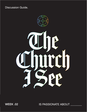**Discussion Guide.** 



WEEK .02 WEEK .02

IS PASSIONATE ABOUT \_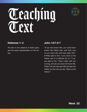



The Son is the radiance of God's glory and the exact representation of His being…

### **Hebrews 1: 3 John 14:7-9 7**

"If you had known Me, you would have known My Father also; and from now on you know Him and have seen Him." 8 Philip said to Him, "Lord, show us the Father, and it is sufficient for us." 9 Jesus said to him, "Have I been with you so long, and yet you have not known Me, Philip? He who has seen Me has seen the Father; so how can you say, 'Show us the Father'?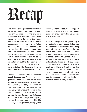# Recap

This week Banning Liebscher continues the series called **"The Church I See"**. The primary mission of the church is to advance the Kingdom. When Jesus came, He came to reveal the Father and represent Who He is. When people encountered Jesus, they saw the Father. His heart, His nature and character, His love for them, His passion to see them free. Our lives should do the same. When people encounter us, they should see the Father. People should be able to look at us and see what the Father is like. That's a big statement, but the Holy Spirit is daily working in our lives and transforming our lives to look like Jesus and therefore reveal the Father to the world around us.

The church I see is a radically generous church because our Father is radically generous. **John 3:16** (one of the most well known verses in the Bible) illustrates the Father's generosity. "For God so loved the world that he gave his one only Son, that whoever believes in him shall not perish but have eternal life." He gave us His only Son and hasn't stopped giving. God is not stingy, with anything He has. He gives freely to us His: life, love, forgiveness, patience, mercy, grace,

encouragement, resources, support, strength, time and attention. The Father's generosity should stir within us a desire to live generously.

 One of the keys to living generously is to understand and acknowledge that what we have is because of Him. "Every good gift and every perfect gift is from above, and comes down from the Father of lights, with whom there is no variation or shadow of turning **(James 1:17)**". For us living in the western world, this can be quite difficult. There is a pride that creeps in that says what I have is because of me; I worked hard for this, I earned this, I sacrificed for this, I fought for this. Humility recognizes that all that I have, God has given me and that's why it's so easy to be generous with my life. Freely you have received, freely you give.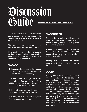## Discussion Guide **EMOTIONAL HEALTH CHECK IN**

Take a few minutes to do an emotional health check in with your Community, creating space for each person to answer the question below:

What are three words you would use to describe the current season you are in?

If the need arises, spend a few minutes praying for one another, asking God to meet needs and help each person carry what feels heavy right now.

### **ENGAGE**

1. Is generosity something that comes naturally to you? Did you grow up in a home that modeled generosity?

2. What comes up for you when you think about God as a Father Who withholds nothing? Do you think this is something that you truly believe?

3. In what ways do you live radically generous (time, talents, resources)?

4. What gets in the way of you giving freely as Jesus gives to us?

### **ENCOUNTER**

Spend a few minutes in stillness and quiet (you may want to play soaking music) in your group and ask Holy Spirit the following question:

Is there any area in my life where I have allowed pride to creep in, and are there places where I am holding onto what I believe to be mine?

If time permits, allow those who want to, share what God spoke to them during the Encounter time.

### **EQUIP**

As a group, think of specific ways in which you would like to be equipped, challenged and strengthened in the area of generosity. Spend some time praying into these areas. Throughout the week, find 2-3 practical ways in which you can practice radical generosity. It could look like: buying coffee for the person behind you at Starbucks, calling someone you haven't talked to in a while and giving them a word of encouragement or serving your community by volunteering your time. We will talk about your experience next week.